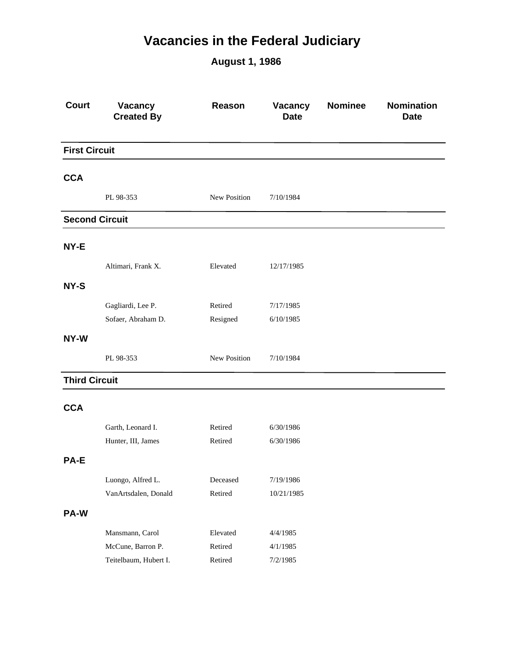## **Vacancies in the Federal Judiciary**

**August 1, 1986**

| <b>Court</b>          | Vacancy<br><b>Created By</b> | Reason       | Vacancy<br><b>Date</b> | <b>Nominee</b> | Nomination<br><b>Date</b> |
|-----------------------|------------------------------|--------------|------------------------|----------------|---------------------------|
| <b>First Circuit</b>  |                              |              |                        |                |                           |
| <b>CCA</b>            |                              |              |                        |                |                           |
|                       | PL 98-353                    | New Position | 7/10/1984              |                |                           |
| <b>Second Circuit</b> |                              |              |                        |                |                           |
| NY-E                  |                              |              |                        |                |                           |
|                       | Altimari, Frank X.           | Elevated     | 12/17/1985             |                |                           |
| NY-S                  |                              |              |                        |                |                           |
|                       | Gagliardi, Lee P.            | Retired      | 7/17/1985              |                |                           |
|                       | Sofaer, Abraham D.           | Resigned     | 6/10/1985              |                |                           |
| NY-W                  |                              |              |                        |                |                           |
|                       | PL 98-353                    | New Position | 7/10/1984              |                |                           |
| <b>Third Circuit</b>  |                              |              |                        |                |                           |
| <b>CCA</b>            |                              |              |                        |                |                           |
|                       | Garth, Leonard I.            | Retired      | 6/30/1986              |                |                           |
|                       | Hunter, III, James           | Retired      | 6/30/1986              |                |                           |
| PA-E                  |                              |              |                        |                |                           |
|                       | Luongo, Alfred L.            | Deceased     | 7/19/1986              |                |                           |
|                       | VanArtsdalen, Donald         | Retired      | 10/21/1985             |                |                           |
| <b>PA-W</b>           |                              |              |                        |                |                           |
|                       | Mansmann, Carol              | Elevated     | 4/4/1985               |                |                           |
|                       | McCune, Barron P.            | Retired      | 4/1/1985               |                |                           |
|                       | Teitelbaum, Hubert I.        | Retired      | 7/2/1985               |                |                           |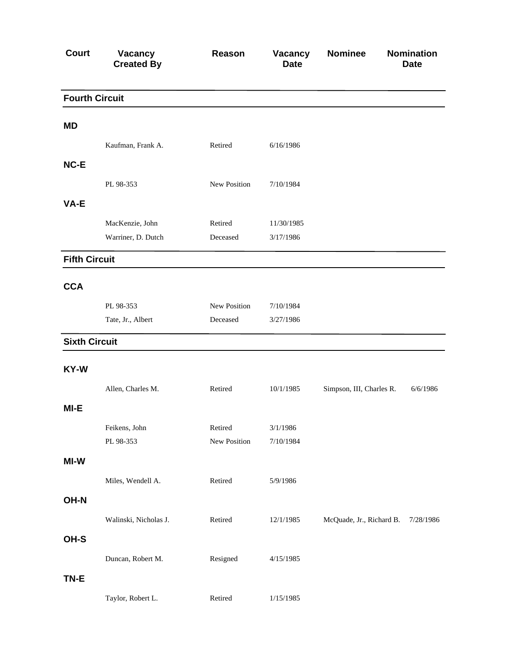| <b>Court</b>          | Vacancy<br><b>Created By</b> | Reason       | Vacancy<br><b>Date</b> | <b>Nominee</b>           | <b>Nomination</b><br><b>Date</b> |
|-----------------------|------------------------------|--------------|------------------------|--------------------------|----------------------------------|
| <b>Fourth Circuit</b> |                              |              |                        |                          |                                  |
| <b>MD</b>             |                              |              |                        |                          |                                  |
|                       | Kaufman, Frank A.            | Retired      | 6/16/1986              |                          |                                  |
| NC-E                  |                              |              |                        |                          |                                  |
|                       | PL 98-353                    | New Position | 7/10/1984              |                          |                                  |
| VA-E                  |                              |              |                        |                          |                                  |
|                       | MacKenzie, John              | Retired      | 11/30/1985             |                          |                                  |
|                       | Warriner, D. Dutch           | Deceased     | 3/17/1986              |                          |                                  |
| <b>Fifth Circuit</b>  |                              |              |                        |                          |                                  |
| <b>CCA</b>            |                              |              |                        |                          |                                  |
|                       | PL 98-353                    | New Position | 7/10/1984              |                          |                                  |
|                       | Tate, Jr., Albert            | Deceased     | 3/27/1986              |                          |                                  |
| <b>Sixth Circuit</b>  |                              |              |                        |                          |                                  |
| KY-W                  |                              |              |                        |                          |                                  |
|                       | Allen, Charles M.            | Retired      | 10/1/1985              | Simpson, III, Charles R. | 6/6/1986                         |
| MI-E                  |                              |              |                        |                          |                                  |
|                       | Feikens, John                | Retired      | 3/1/1986               |                          |                                  |
|                       | PL 98-353                    | New Position | 7/10/1984              |                          |                                  |
| MI-W                  |                              |              |                        |                          |                                  |
|                       | Miles, Wendell A.            | Retired      | 5/9/1986               |                          |                                  |
| OH-N                  |                              |              |                        |                          |                                  |
|                       | Walinski, Nicholas J.        | Retired      | 12/1/1985              | McQuade, Jr., Richard B. | 7/28/1986                        |
| OH-S                  |                              |              |                        |                          |                                  |
|                       | Duncan, Robert M.            | Resigned     | 4/15/1985              |                          |                                  |
| TN-E                  |                              |              |                        |                          |                                  |
|                       | Taylor, Robert L.            | Retired      | 1/15/1985              |                          |                                  |
|                       |                              |              |                        |                          |                                  |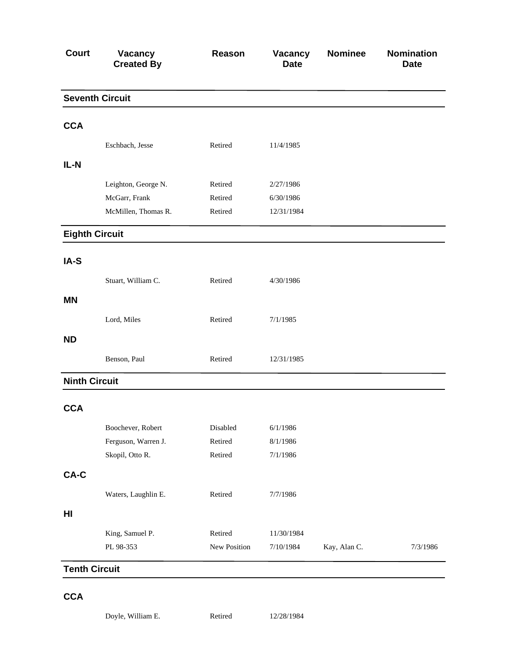| <b>Court</b>          | Vacancy<br><b>Created By</b> | Reason       | Vacancy<br><b>Date</b> | <b>Nominee</b> | <b>Nomination</b><br><b>Date</b> |
|-----------------------|------------------------------|--------------|------------------------|----------------|----------------------------------|
|                       | <b>Seventh Circuit</b>       |              |                        |                |                                  |
| <b>CCA</b>            |                              |              |                        |                |                                  |
|                       | Eschbach, Jesse              | Retired      | 11/4/1985              |                |                                  |
| IL-N                  |                              |              |                        |                |                                  |
|                       | Leighton, George N.          | Retired      | 2/27/1986              |                |                                  |
|                       | McGarr, Frank                | Retired      | 6/30/1986              |                |                                  |
|                       | McMillen, Thomas R.          | Retired      | 12/31/1984             |                |                                  |
| <b>Eighth Circuit</b> |                              |              |                        |                |                                  |
| IA-S                  |                              |              |                        |                |                                  |
|                       | Stuart, William C.           | Retired      | 4/30/1986              |                |                                  |
| <b>MN</b>             |                              |              |                        |                |                                  |
|                       | Lord, Miles                  | Retired      | 7/1/1985               |                |                                  |
| <b>ND</b>             |                              |              |                        |                |                                  |
|                       | Benson, Paul                 | Retired      | 12/31/1985             |                |                                  |
| <b>Ninth Circuit</b>  |                              |              |                        |                |                                  |
| <b>CCA</b>            |                              |              |                        |                |                                  |
|                       | Boochever, Robert            | Disabled     | 6/1/1986               |                |                                  |
|                       | Ferguson, Warren J.          | Retired      | 8/1/1986               |                |                                  |
|                       | Skopil, Otto R.              | Retired      | 7/1/1986               |                |                                  |
| CA-C                  |                              |              |                        |                |                                  |
|                       | Waters, Laughlin E.          | Retired      | 7/7/1986               |                |                                  |
| H <sub>II</sub>       |                              |              |                        |                |                                  |
|                       | King, Samuel P.              | Retired      | 11/30/1984             |                |                                  |
|                       | PL 98-353                    | New Position | 7/10/1984              | Kay, Alan C.   | 7/3/1986                         |
| <b>Tenth Circuit</b>  |                              |              |                        |                |                                  |

## **CCA**

Doyle, William E. Retired 12/28/1984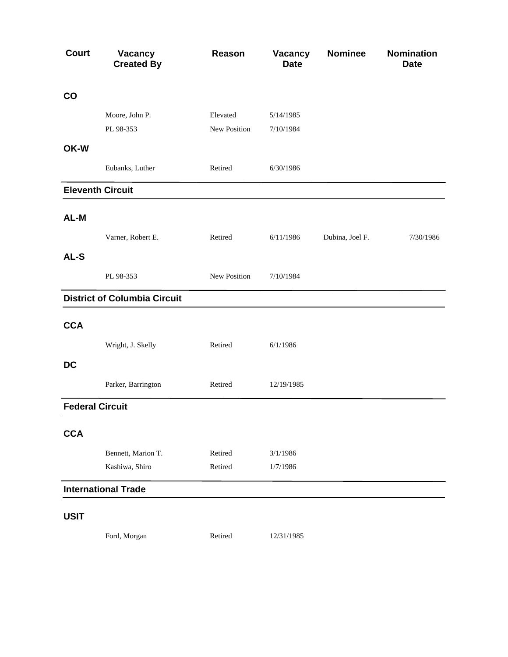| <b>Court</b>           | <b>Vacancy</b><br><b>Created By</b> | Reason       | Vacancy<br><b>Date</b> | <b>Nominee</b>  | <b>Nomination</b><br><b>Date</b> |
|------------------------|-------------------------------------|--------------|------------------------|-----------------|----------------------------------|
| $\mathbf{CO}$          |                                     |              |                        |                 |                                  |
|                        | Moore, John P.                      | Elevated     | 5/14/1985              |                 |                                  |
|                        | PL 98-353                           | New Position | 7/10/1984              |                 |                                  |
| OK-W                   |                                     |              |                        |                 |                                  |
|                        | Eubanks, Luther                     | Retired      | 6/30/1986              |                 |                                  |
|                        | <b>Eleventh Circuit</b>             |              |                        |                 |                                  |
|                        |                                     |              |                        |                 |                                  |
| AL-M                   |                                     |              |                        |                 |                                  |
|                        | Varner, Robert E.                   | Retired      | 6/11/1986              | Dubina, Joel F. | 7/30/1986                        |
| AL-S                   |                                     |              |                        |                 |                                  |
|                        | PL 98-353                           | New Position | 7/10/1984              |                 |                                  |
|                        | <b>District of Columbia Circuit</b> |              |                        |                 |                                  |
| <b>CCA</b>             |                                     |              |                        |                 |                                  |
|                        | Wright, J. Skelly                   | Retired      | 6/1/1986               |                 |                                  |
| <b>DC</b>              |                                     |              |                        |                 |                                  |
|                        | Parker, Barrington                  | Retired      | 12/19/1985             |                 |                                  |
| <b>Federal Circuit</b> |                                     |              |                        |                 |                                  |
| <b>CCA</b>             |                                     |              |                        |                 |                                  |
|                        | Bennett, Marion T.                  | Retired      | 3/1/1986               |                 |                                  |
|                        | Kashiwa, Shiro                      | Retired      | 1/7/1986               |                 |                                  |
|                        | <b>International Trade</b>          |              |                        |                 |                                  |
| <b>USIT</b>            |                                     |              |                        |                 |                                  |
|                        | Ford, Morgan                        | Retired      | 12/31/1985             |                 |                                  |